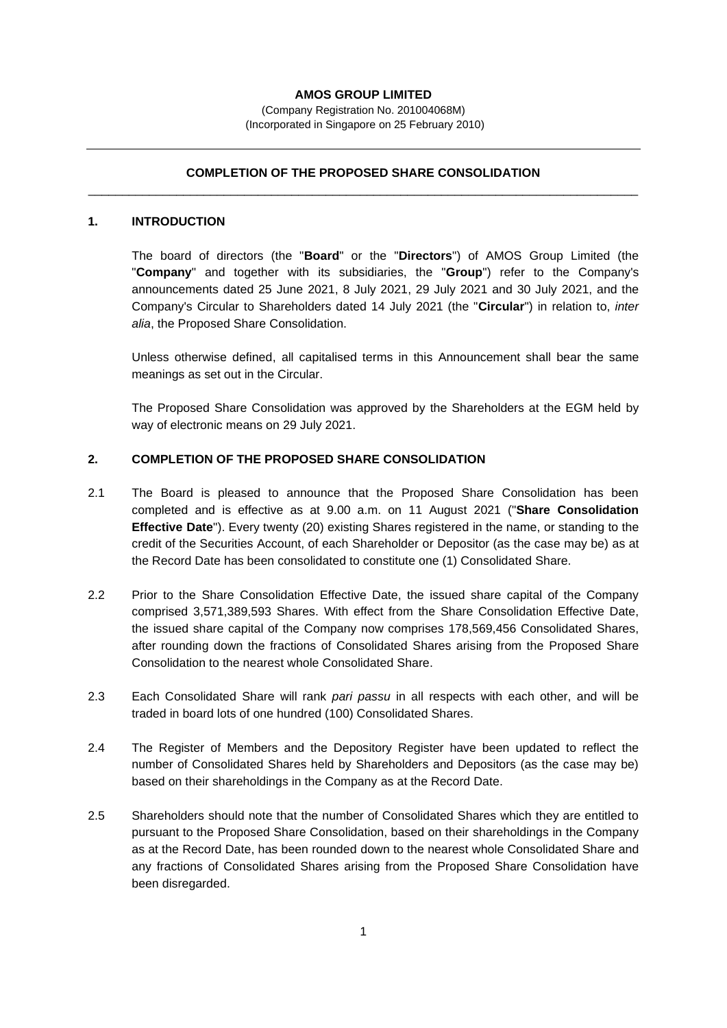## **AMOS GROUP LIMITED**

(Company Registration No. 201004068M) (Incorporated in Singapore on 25 February 2010)

# **COMPLETION OF THE PROPOSED SHARE CONSOLIDATION** \_\_\_\_\_\_\_\_\_\_\_\_\_\_\_\_\_\_\_\_\_\_\_\_\_\_\_\_\_\_\_\_\_\_\_\_\_\_\_\_\_\_\_\_\_\_\_\_\_\_\_\_\_\_\_\_\_\_\_\_\_\_\_\_\_\_\_\_\_\_\_\_\_\_\_\_\_\_\_\_\_

### **1. INTRODUCTION**

The board of directors (the "**Board**" or the "**Directors**") of AMOS Group Limited (the "**Company**" and together with its subsidiaries, the "**Group**") refer to the Company's announcements dated 25 June 2021, 8 July 2021, 29 July 2021 and 30 July 2021, and the Company's Circular to Shareholders dated 14 July 2021 (the "**Circular**") in relation to, *inter alia*, the Proposed Share Consolidation.

Unless otherwise defined, all capitalised terms in this Announcement shall bear the same meanings as set out in the Circular.

The Proposed Share Consolidation was approved by the Shareholders at the EGM held by way of electronic means on 29 July 2021.

## **2. COMPLETION OF THE PROPOSED SHARE CONSOLIDATION**

- 2.1 The Board is pleased to announce that the Proposed Share Consolidation has been completed and is effective as at 9.00 a.m. on 11 August 2021 ("**Share Consolidation Effective Date**"). Every twenty (20) existing Shares registered in the name, or standing to the credit of the Securities Account, of each Shareholder or Depositor (as the case may be) as at the Record Date has been consolidated to constitute one (1) Consolidated Share.
- 2.2 Prior to the Share Consolidation Effective Date, the issued share capital of the Company comprised 3,571,389,593 Shares. With effect from the Share Consolidation Effective Date, the issued share capital of the Company now comprises 178,569,456 Consolidated Shares, after rounding down the fractions of Consolidated Shares arising from the Proposed Share Consolidation to the nearest whole Consolidated Share.
- 2.3 Each Consolidated Share will rank *pari passu* in all respects with each other, and will be traded in board lots of one hundred (100) Consolidated Shares.
- 2.4 The Register of Members and the Depository Register have been updated to reflect the number of Consolidated Shares held by Shareholders and Depositors (as the case may be) based on their shareholdings in the Company as at the Record Date.
- 2.5 Shareholders should note that the number of Consolidated Shares which they are entitled to pursuant to the Proposed Share Consolidation, based on their shareholdings in the Company as at the Record Date, has been rounded down to the nearest whole Consolidated Share and any fractions of Consolidated Shares arising from the Proposed Share Consolidation have been disregarded.